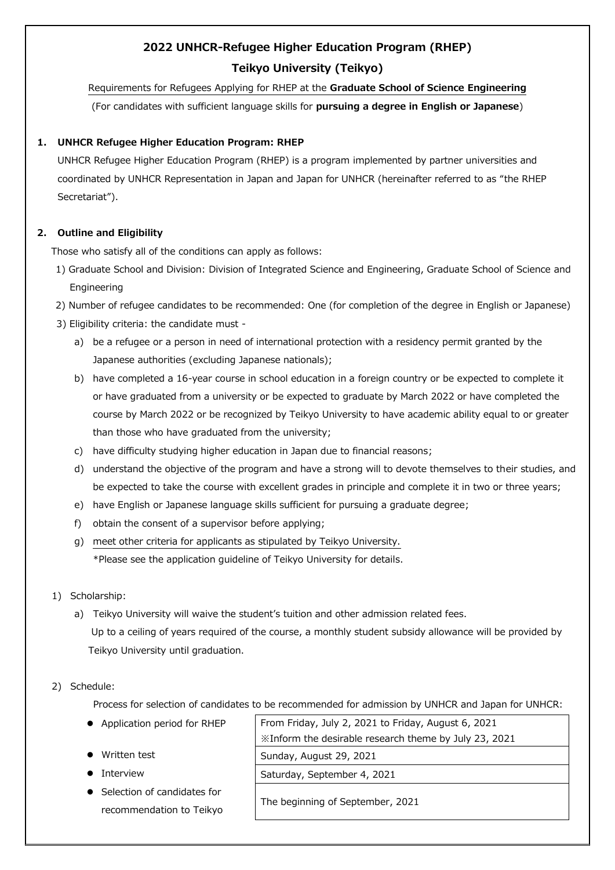# **2022 UNHCR-Refugee Higher Education Program (RHEP) Teikyo University (Teikyo)**

Requirements for Refugees Applying for RHEP at the **Graduate School of Science Engineering** (For candidates with sufficient language skills for **pursuing a degree in English or Japanese**)

## **1. UNHCR Refugee Higher Education Program: RHEP**

UNHCR Refugee Higher Education Program (RHEP) is a program implemented by partner universities and coordinated by UNHCR Representation in Japan and Japan for UNHCR (hereinafter referred to as "the RHEP Secretariat").

# **2. Outline and Eligibility**

Those who satisfy all of the conditions can apply as follows:

- 1) Graduate School and Division: Division of Integrated Science and Engineering, Graduate School of Science and Engineering
- 2) Number of refugee candidates to be recommended: One (for completion of the degree in English or Japanese)
- 3) Eligibility criteria: the candidate must
	- a) be a refugee or a person in need of international protection with a residency permit granted by the Japanese authorities (excluding Japanese nationals);
	- b) have completed a 16-year course in school education in a foreign country or be expected to complete it or have graduated from a university or be expected to graduate by March 2022 or have completed the course by March 2022 or be recognized by Teikyo University to have academic ability equal to or greater than those who have graduated from the university;
	- c) have difficulty studying higher education in Japan due to financial reasons;
	- d) understand the objective of the program and have a strong will to devote themselves to their studies, and be expected to take the course with excellent grades in principle and complete it in two or three years;
	- e) have English or Japanese language skills sufficient for pursuing a graduate degree;
	- f) obtain the consent of a supervisor before applying;
	- g) meet other criteria for applicants as stipulated by Teikyo University. \*Please see the application guideline of Teikyo University for details.
- 1) Scholarship:
	- a) Teikyo University will waive the student's tuition and other admission related fees. Up to a ceiling of years required of the course, a monthly student subsidy allowance will be provided by Teikyo University until graduation.

## 2) Schedule:

Process for selection of candidates to be recommended for admission by UNHCR and Japan for UNHCR:

| • Application period for RHEP | From Friday, July 2, 2021 to Friday, August 6, 2021   |  |
|-------------------------------|-------------------------------------------------------|--|
|                               | *Inform the desirable research theme by July 23, 2021 |  |
| Written test                  | Sunday, August 29, 2021                               |  |
| Interview                     | Saturday, September 4, 2021                           |  |
| Selection of candidates for   |                                                       |  |
| recommendation to Teikyo      | The beginning of September, 2021                      |  |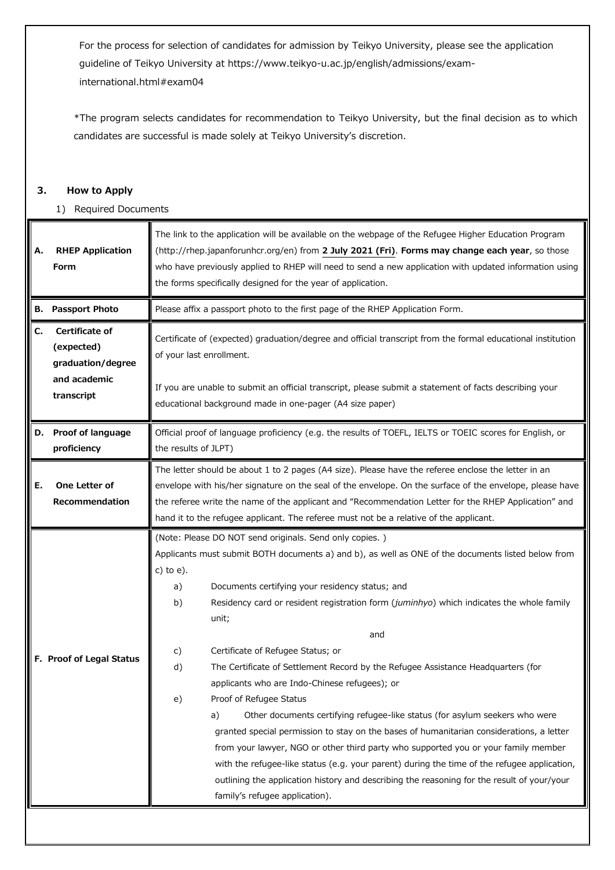For the process for selection of candidates for admission by Teikyo University, please see the application guideline of Teikyo University at https://www.teikyo-u.ac.jp/english/admissions/examinternational.html#exam04

\*The program selects candidates for recommendation to Teikyo University, but the final decision as to which candidates are successful is made solely at Teikyo University's discretion.

### **3. How to Apply**

1) Required Documents

| Α. | <b>RHEP Application</b><br>Form                                                 | The link to the application will be available on the webpage of the Refugee Higher Education Program<br>(http://rhep.japanforunhcr.org/en) from 2 July 2021 (Fri). Forms may change each year, so those<br>who have previously applied to RHEP will need to send a new application with updated information using<br>the forms specifically designed for the year of application.                                                                                                                                                                                                                                                                                                                                                                                                                                                                                                                                                                                                                                                                                                  |
|----|---------------------------------------------------------------------------------|------------------------------------------------------------------------------------------------------------------------------------------------------------------------------------------------------------------------------------------------------------------------------------------------------------------------------------------------------------------------------------------------------------------------------------------------------------------------------------------------------------------------------------------------------------------------------------------------------------------------------------------------------------------------------------------------------------------------------------------------------------------------------------------------------------------------------------------------------------------------------------------------------------------------------------------------------------------------------------------------------------------------------------------------------------------------------------|
| в. | <b>Passport Photo</b>                                                           | Please affix a passport photo to the first page of the RHEP Application Form.                                                                                                                                                                                                                                                                                                                                                                                                                                                                                                                                                                                                                                                                                                                                                                                                                                                                                                                                                                                                      |
| C. | Certificate of<br>(expected)<br>graduation/degree<br>and academic<br>transcript | Certificate of (expected) graduation/degree and official transcript from the formal educational institution<br>of your last enrollment.                                                                                                                                                                                                                                                                                                                                                                                                                                                                                                                                                                                                                                                                                                                                                                                                                                                                                                                                            |
|    |                                                                                 | If you are unable to submit an official transcript, please submit a statement of facts describing your<br>educational background made in one-pager (A4 size paper)                                                                                                                                                                                                                                                                                                                                                                                                                                                                                                                                                                                                                                                                                                                                                                                                                                                                                                                 |
| D. | Proof of language<br>proficiency                                                | Official proof of language proficiency (e.g. the results of TOEFL, IELTS or TOEIC scores for English, or<br>the results of JLPT)                                                                                                                                                                                                                                                                                                                                                                                                                                                                                                                                                                                                                                                                                                                                                                                                                                                                                                                                                   |
| Ε. | One Letter of<br>Recommendation                                                 | The letter should be about 1 to 2 pages (A4 size). Please have the referee enclose the letter in an<br>envelope with his/her signature on the seal of the envelope. On the surface of the envelope, please have<br>the referee write the name of the applicant and "Recommendation Letter for the RHEP Application" and<br>hand it to the refugee applicant. The referee must not be a relative of the applicant.                                                                                                                                                                                                                                                                                                                                                                                                                                                                                                                                                                                                                                                                  |
|    | F. Proof of Legal Status                                                        | (Note: Please DO NOT send originals. Send only copies.)<br>Applicants must submit BOTH documents a) and b), as well as ONE of the documents listed below from<br>c) to e).<br>Documents certifying your residency status; and<br>a)<br>b)<br>Residency card or resident registration form (juminhyo) which indicates the whole family<br>unit;<br>and<br>c)<br>Certificate of Refugee Status; or<br>The Certificate of Settlement Record by the Refugee Assistance Headquarters (for<br>d)<br>applicants who are Indo-Chinese refugees); or<br>Proof of Refugee Status<br>e)<br>Other documents certifying refugee-like status (for asylum seekers who were<br>a)<br>granted special permission to stay on the bases of humanitarian considerations, a letter<br>from your lawyer, NGO or other third party who supported you or your family member<br>with the refugee-like status (e.g. your parent) during the time of the refugee application,<br>outlining the application history and describing the reasoning for the result of your/your<br>family's refugee application). |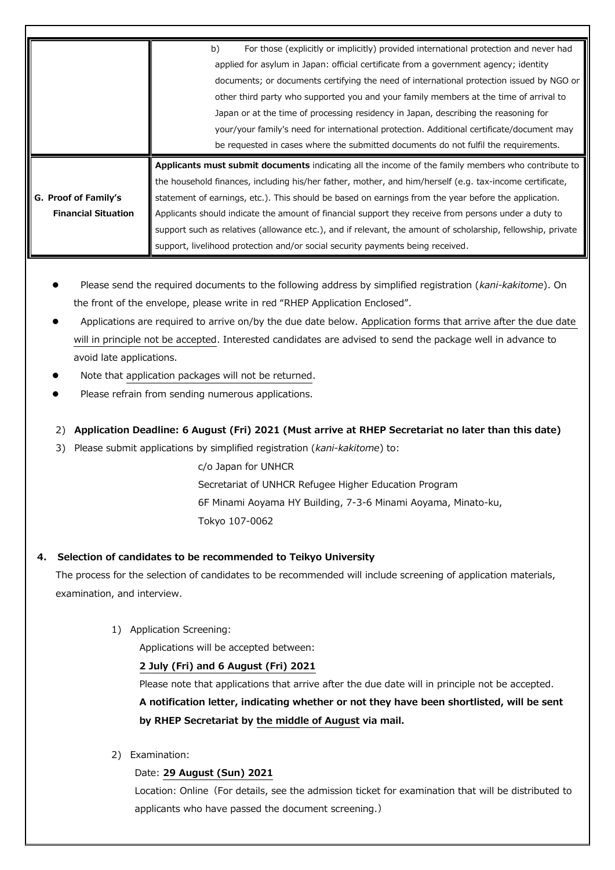|                            | For those (explicitly or implicitly) provided international protection and never had<br>b)                  |
|----------------------------|-------------------------------------------------------------------------------------------------------------|
|                            | applied for asylum in Japan: official certificate from a government agency; identity                        |
|                            | documents; or documents certifying the need of international protection issued by NGO or                    |
|                            | other third party who supported you and your family members at the time of arrival to                       |
|                            | Japan or at the time of processing residency in Japan, describing the reasoning for                         |
|                            | your/your family's need for international protection. Additional certificate/document may                   |
|                            | be requested in cases where the submitted documents do not fulfil the requirements.                         |
|                            | Applicants must submit documents indicating all the income of the family members who contribute to          |
|                            | the household finances, including his/her father, mother, and him/herself (e.g. tax-income certificate,     |
| G. Proof of Family's       | statement of earnings, etc.). This should be based on earnings from the year before the application.        |
| <b>Financial Situation</b> | Applicants should indicate the amount of financial support they receive from persons under a duty to        |
|                            | support such as relatives (allowance etc.), and if relevant, the amount of scholarship, fellowship, private |
|                            | support, livelihood protection and/or social security payments being received.                              |

- Please send the required documents to the following address by simplified registration (*kani-kakitome*). On the front of the envelope, please write in red "RHEP Application Enclosed".
- Applications are required to arrive on/by the due date below. Application forms that arrive after the due date will in principle not be accepted. Interested candidates are advised to send the package well in advance to avoid late applications.
- Note that application packages will not be returned.
- Please refrain from sending numerous applications.

### 2) **Application Deadline: 6 August (Fri) 2021 (Must arrive at RHEP Secretariat no later than this date)**

3) Please submit applications by simplified registration (*kani-kakitome*) to:

c/o Japan for UNHCR Secretariat of UNHCR Refugee Higher Education Program 6F Minami Aoyama HY Building, 7-3-6 Minami Aoyama, Minato-ku, Tokyo 107-0062

#### **4. Selection of candidates to be recommended to Teikyo University**

The process for the selection of candidates to be recommended will include screening of application materials, examination, and interview.

1) Application Screening:

Applications will be accepted between:

#### **2 July (Fri) and 6 August (Fri) 2021**

Please note that applications that arrive after the due date will in principle not be accepted. **A notification letter, indicating whether or not they have been shortlisted, will be sent by RHEP Secretariat by the middle of August via mail.**

2) Examination:

#### Date: **29 August (Sun) 2021**

Location: Online (For details, see the admission ticket for examination that will be distributed to applicants who have passed the document screening.)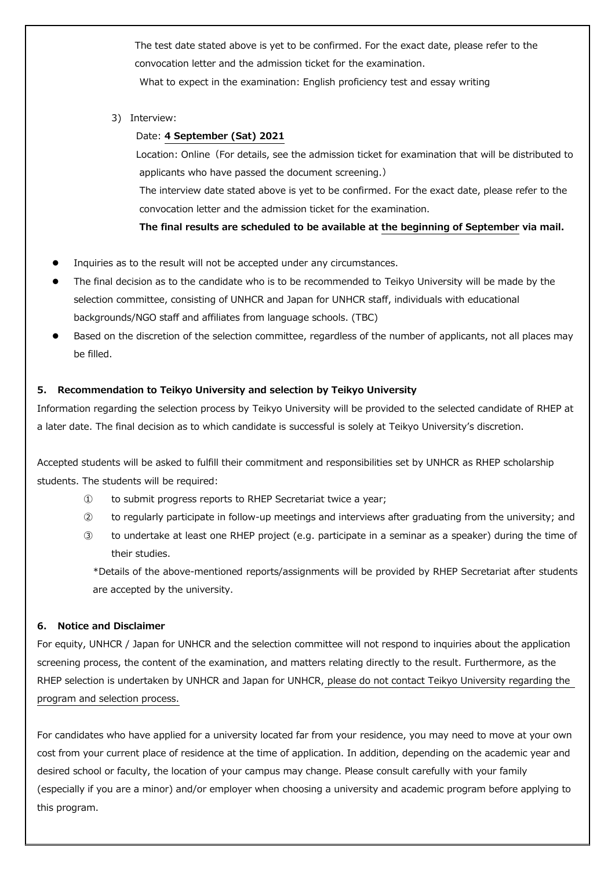The test date stated above is yet to be confirmed. For the exact date, please refer to the convocation letter and the admission ticket for the examination. What to expect in the examination: English proficiency test and essay writing

3) Interview:

#### Date: **4 September (Sat) 2021**

Location: Online (For details, see the admission ticket for examination that will be distributed to applicants who have passed the document screening.)

The interview date stated above is yet to be confirmed. For the exact date, please refer to the convocation letter and the admission ticket for the examination.

**The final results are scheduled to be available at the beginning of September via mail.**

- Inquiries as to the result will not be accepted under any circumstances.
- The final decision as to the candidate who is to be recommended to Teikyo University will be made by the selection committee, consisting of UNHCR and Japan for UNHCR staff, individuals with educational backgrounds/NGO staff and affiliates from language schools. (TBC)
- Based on the discretion of the selection committee, regardless of the number of applicants, not all places may be filled.

#### **5. Recommendation to Teikyo University and selection by Teikyo University**

Information regarding the selection process by Teikyo University will be provided to the selected candidate of RHEP at a later date. The final decision as to which candidate is successful is solely at Teikyo University's discretion.

Accepted students will be asked to fulfill their commitment and responsibilities set by UNHCR as RHEP scholarship students. The students will be required:

- ① to submit progress reports to RHEP Secretariat twice a year;
- ② to regularly participate in follow-up meetings and interviews after graduating from the university; and
- ③ to undertake at least one RHEP project (e.g. participate in a seminar as a speaker) during the time of their studies.

\*Details of the above-mentioned reports/assignments will be provided by RHEP Secretariat after students are accepted by the university.

#### **6. Notice and Disclaimer**

For equity, UNHCR / Japan for UNHCR and the selection committee will not respond to inquiries about the application screening process, the content of the examination, and matters relating directly to the result. Furthermore, as the RHEP selection is undertaken by UNHCR and Japan for UNHCR, please do not contact Teikyo University regarding the program and selection process.

For candidates who have applied for a university located far from your residence, you may need to move at your own cost from your current place of residence at the time of application. In addition, depending on the academic year and desired school or faculty, the location of your campus may change. Please consult carefully with your family (especially if you are a minor) and/or employer when choosing a university and academic program before applying to this program.